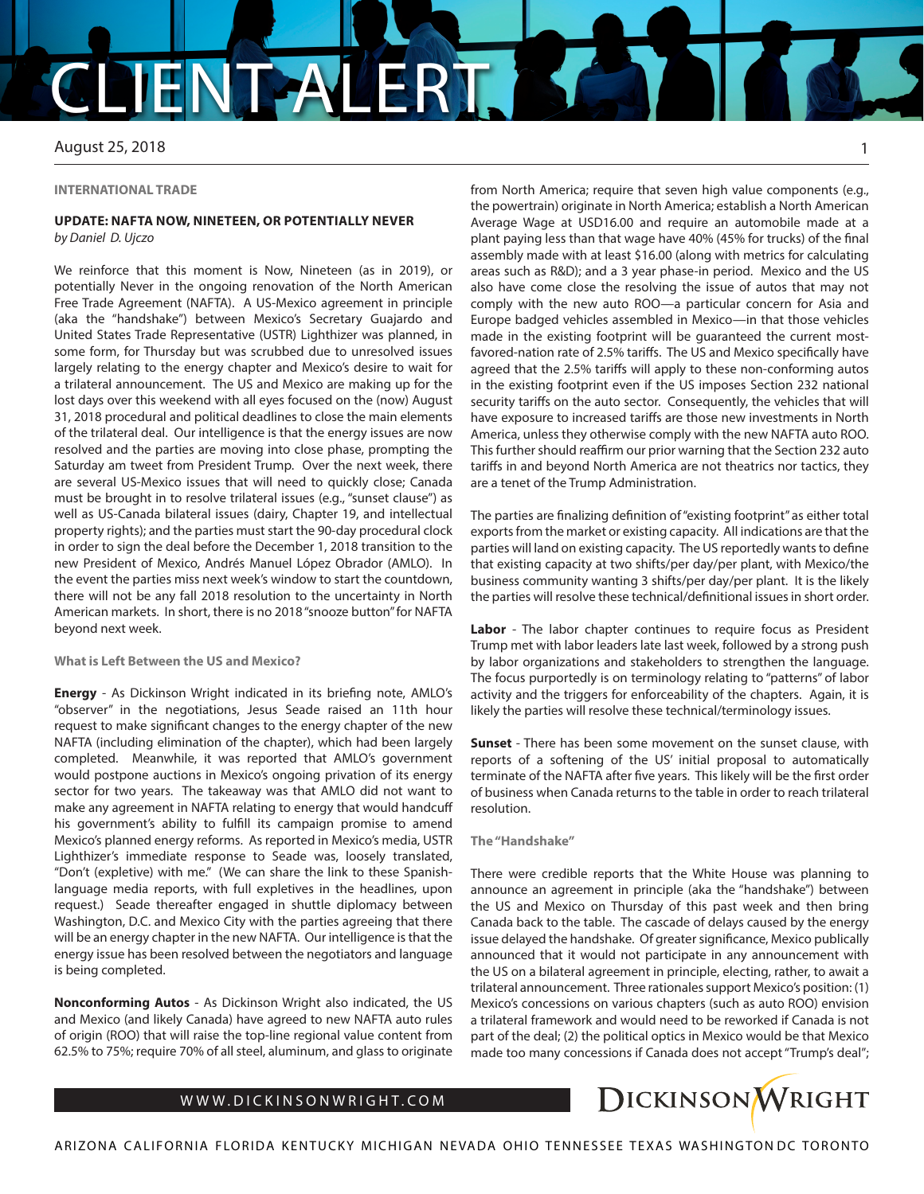## CAL

August 25, 2018

#### **INTERNATIONAL TRADE**

### **UPDATE: NAFTA NOW, NINETEEN, OR POTENTIALLY NEVER** *by Daniel D. Ujczo*

We reinforce that this moment is Now, Nineteen (as in 2019), or potentially Never in the ongoing renovation of the North American Free Trade Agreement (NAFTA). A US-Mexico agreement in principle (aka the "handshake") between Mexico's Secretary Guajardo and United States Trade Representative (USTR) Lighthizer was planned, in some form, for Thursday but was scrubbed due to unresolved issues largely relating to the energy chapter and Mexico's desire to wait for a trilateral announcement. The US and Mexico are making up for the lost days over this weekend with all eyes focused on the (now) August 31, 2018 procedural and political deadlines to close the main elements of the trilateral deal. Our intelligence is that the energy issues are now resolved and the parties are moving into close phase, prompting the Saturday am tweet from President Trump. Over the next week, there are several US-Mexico issues that will need to quickly close; Canada must be brought in to resolve trilateral issues (e.g., "sunset clause") as well as US-Canada bilateral issues (dairy, Chapter 19, and intellectual property rights); and the parties must start the 90-day procedural clock in order to sign the deal before the December 1, 2018 transition to the new President of Mexico, Andrés Manuel López Obrador (AMLO). In the event the parties miss next week's window to start the countdown, there will not be any fall 2018 resolution to the uncertainty in North American markets. In short, there is no 2018 "snooze button" for NAFTA beyond next week.

## **What is Left Between the US and Mexico?**

**Energy** - As Dickinson Wright indicated in its briefing note, AMLO's "observer" in the negotiations, Jesus Seade raised an 11th hour request to make significant changes to the energy chapter of the new NAFTA (including elimination of the chapter), which had been largely completed. Meanwhile, it was reported that AMLO's government would postpone auctions in Mexico's ongoing privation of its energy sector for two years. The takeaway was that AMLO did not want to make any agreement in NAFTA relating to energy that would handcuff his government's ability to fulfill its campaign promise to amend Mexico's planned energy reforms. As reported in Mexico's media, USTR Lighthizer's immediate response to Seade was, loosely translated, "Don't (expletive) with me." (We can share the link to these Spanishlanguage media reports, with full expletives in the headlines, upon request.) Seade thereafter engaged in shuttle diplomacy between Washington, D.C. and Mexico City with the parties agreeing that there will be an energy chapter in the new NAFTA. Our intelligence is that the energy issue has been resolved between the negotiators and language is being completed.

**Nonconforming Autos** - As Dickinson Wright also indicated, the US and Mexico (and likely Canada) have agreed to new NAFTA auto rules of origin (ROO) that will raise the top-line regional value content from 62.5% to 75%; require 70% of all steel, aluminum, and glass to originate

from North America; require that seven high value components (e.g., the powertrain) originate in North America; establish a North American Average Wage at USD16.00 and require an automobile made at a plant paying less than that wage have 40% (45% for trucks) of the final assembly made with at least \$16.00 (along with metrics for calculating areas such as R&D); and a 3 year phase-in period. Mexico and the US also have come close the resolving the issue of autos that may not comply with the new auto ROO—a particular concern for Asia and Europe badged vehicles assembled in Mexico—in that those vehicles made in the existing footprint will be guaranteed the current mostfavored-nation rate of 2.5% tariffs. The US and Mexico specifically have agreed that the 2.5% tariffs will apply to these non-conforming autos in the existing footprint even if the US imposes Section 232 national security tariffs on the auto sector. Consequently, the vehicles that will have exposure to increased tariffs are those new investments in North America, unless they otherwise comply with the new NAFTA auto ROO. This further should reaffirm our prior warning that the Section 232 auto tariffs in and beyond North America are not theatrics nor tactics, they are a tenet of the Trump Administration.

The parties are finalizing definition of "existing footprint" as either total exports from the market or existing capacity. All indications are that the parties will land on existing capacity. The US reportedly wants to define that existing capacity at two shifts/per day/per plant, with Mexico/the business community wanting 3 shifts/per day/per plant. It is the likely the parties will resolve these technical/definitional issues in short order.

Labor - The labor chapter continues to require focus as President Trump met with labor leaders late last week, followed by a strong push by labor organizations and stakeholders to strengthen the language. The focus purportedly is on terminology relating to "patterns" of labor activity and the triggers for enforceability of the chapters. Again, it is likely the parties will resolve these technical/terminology issues.

**Sunset** - There has been some movement on the sunset clause, with reports of a softening of the US' initial proposal to automatically terminate of the NAFTA after five years. This likely will be the first order of business when Canada returns to the table in order to reach trilateral resolution.

**The "Handshake"**

There were credible reports that the White House was planning to announce an agreement in principle (aka the "handshake") between the US and Mexico on Thursday of this past week and then bring Canada back to the table. The cascade of delays caused by the energy issue delayed the handshake. Of greater significance, Mexico publically announced that it would not participate in any announcement with the US on a bilateral agreement in principle, electing, rather, to await a trilateral announcement. Three rationales support Mexico's position: (1) Mexico's concessions on various chapters (such as auto ROO) envision a trilateral framework and would need to be reworked if Canada is not part of the deal; (2) the political optics in Mexico would be that Mexico made too many concessions if Canada does not accept "Trump's deal";

## WWW.DICKINSONWRIGHT.COM



1